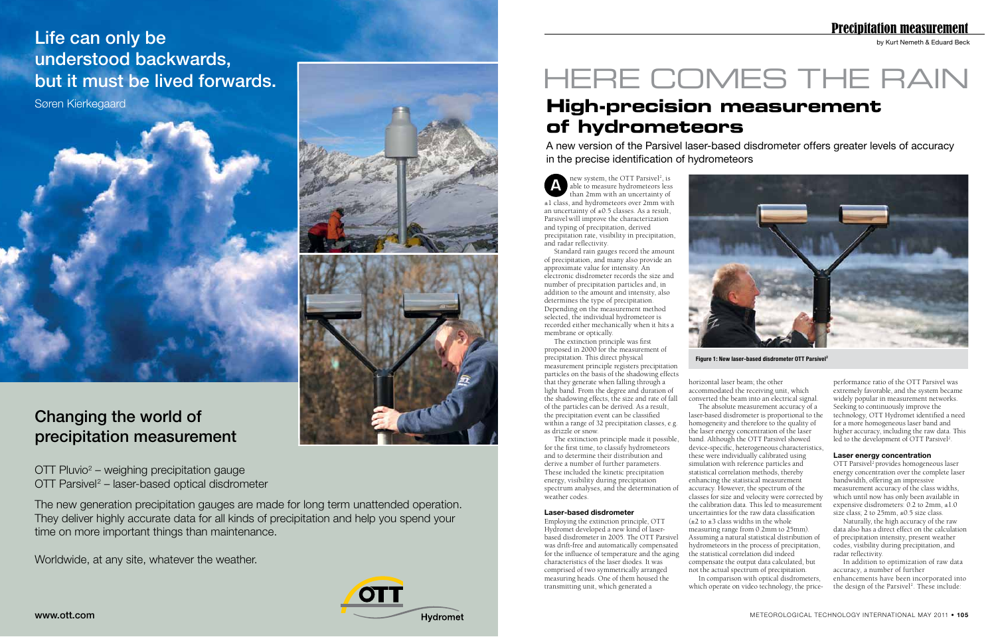by Kurt Nemeth & Eduard Beck

# **High-precision measurement of hydrometeors**

A new version of the Parsivel laser-based disdrometer offers greater levels of accuracy in the precise identification of hydrometeors

 $\triangle$  new system, the OTT Parsivel<sup>2</sup>, is<br>able to measure hydrometeors less<br>then  $\angle$  mm with an uncertainty of new system, the OTT Parsivel<sup>2</sup>, is than 2mm with an uncertainty of ±1 class, and hydrometeors over 2mm with an uncertainty of  $\pm 0.5$  classes. As a result, Parsivel will improve the characterization and typing of precipitation, derived precipitation rate, visibility in precipitation, and radar reflectivity.

Standard rain gauges record the amount of precipitation, and many also provide an approximate value for intensity. An electronic disdrometer records the size and number of precipitation particles and, in addition to the amount and intensity, also determines the type of precipitation. Depending on the measurement method selected, the individual hydrometeor is recorded either mechanically when it hits a membrane or optically.

> converted the beam into an electrical signal. laser-based disdrometer is proportional to the homogeneity and therefore to the quality of the laser energy concentration of the laser band. Although the OTT Parsivel showed device-specific, heterogeneous characteristics, these were individually calibrated using simulation with reference particles and statistical correlation methods, thereby enhancing the statistical measurement accuracy. However, the spectrum of the classes for size and velocity were corrected by the calibration data. This led to measurement uncertainties for the raw data classification  $(\pm 2 \text{ to } \pm 3 \text{ class widths in the whole})$ measuring range from 0.2mm to 25mm). Assuming a natural statistical distribution of hydrometeors in the process of precipitation, the statistical correlation did indeed compensate the output data calculated, but not the actual spectrum of precipitation. which operate on video technology, the pricewidely popular in measurement networks. Seeking to continuously improve the technology, OTT Hydromet identified a need for a more homogeneous laser band and higher accuracy, including the raw data. This led to the development of OTT Parsivel<sup>2</sup>. **Laser energy concentration** OTT Parsivel<sup>2</sup> provides homogeneous laser energy concentration over the complete laser bandwidth, offering an impressive measurement accuracy of the class widths, which until now has only been available in expensive disdrometers: 0.2 to 2mm, ±1.0 size class; 2 to 25mm, ±0.5 size class. Naturally, the high accuracy of the raw data also has a direct effect on the calculation of precipitation intensity, present weather codes, visibility during precipitation, and radar reflectivity. In addition to optimization of raw data accuracy, a number of further enhancements have been incorporated into the design of the Parsivel<sup>2</sup>. These include:

The extinction principle was first proposed in 2000 for the measurement of precipitation. This direct physical measurement principle registers precipitation particles on the basis of the shadowing effects that they generate when falling through a light band. From the degree and duration of the shadowing effects, the size and rate of fall of the particles can be derived. As a result, the precipitation event can be classified within a range of 32 precipitation classes, e.g. as drizzle or snow.

The extinction principle made it possible, for the first time, to classify hydrometeors and to determine their distribution and derive a number of further parameters. These included the kinetic precipitation energy, visibility during precipitation spectrum analyses, and the determination of weather codes.

## **Laser-based disdrometer**

Employing the extinction principle, OTT Hydromet developed a new kind of laserbased disdrometer in 2005. The OTT Parsivel was drift-free and automatically compensated for the influence of temperature and the aging characteristics of the laser diodes. It was comprised of two symmetrically arranged measuring heads. One of them housed the transmitting unit, which generated a



Figure 1: New laser-based disdrometer OTT Parsivel<sup>2</sup>

# Life can only be understood backwards, but it must be lived forwards.

horizontal laser beam; the other accommodated the receiving unit, which The absolute measurement accuracy of a In comparison with optical disdrometers,

performance ratio of the OTT Parsivel was extremely favorable, and the system became

# Precipitation measurement



 $\overline{OPT}$  Pluvio<sup>2</sup> – weighing precipitation gauge  $\overline{\text{OTT}}$  Parsivel<sup>2</sup> – laser-based optical disdrometer

Søren Kierkegaard

The new generation precipitation gauges are made for long term unattended operation. They deliver highly accurate data for all kinds of precipitation and help you spend your time on more important things than maintenance.

Worldwide, at any site, whatever the weather.



# HERE COMES THE RAIN